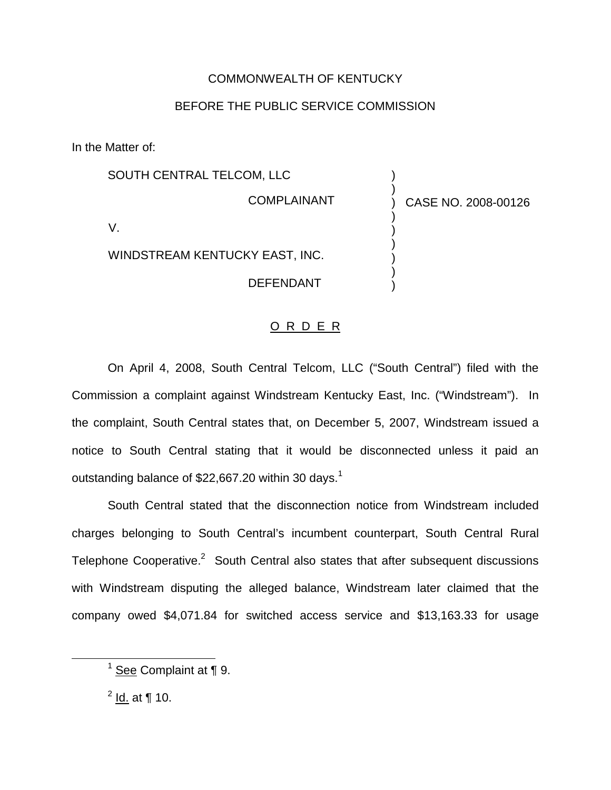## COMMONWEALTH OF KENTUCKY

## BEFORE THE PUBLIC SERVICE COMMISSION

In the Matter of:

| SOUTH CENTRAL TELCOM, LLC      |                     |
|--------------------------------|---------------------|
| <b>COMPLAINANT</b>             | CASE NO. 2008-00126 |
|                                |                     |
| WINDSTREAM KENTUCKY EAST, INC. |                     |
| <b>DEFENDANT</b>               |                     |

## O R D E R

On April 4, 2008, South Central Telcom, LLC ("South Central") filed with the Commission a complaint against Windstream Kentucky East, Inc. ("Windstream"). In the complaint, South Central states that, on December 5, 2007, Windstream issued a notice to South Central stating that it would be disconnected unless it paid an outstanding balance of \$22,667.20 within 30 days.<sup>1</sup>

South Central stated that the disconnection notice from Windstream included charges belonging to South Central's incumbent counterpart, South Central Rural Telephone Cooperative. $2$  South Central also states that after subsequent discussions with Windstream disputing the alleged balance, Windstream later claimed that the company owed \$4,071.84 for switched access service and \$13,163.33 for usage

 $1$  See Complaint at  $\P$  9.

 $^{2}$  Id. at ¶ 10.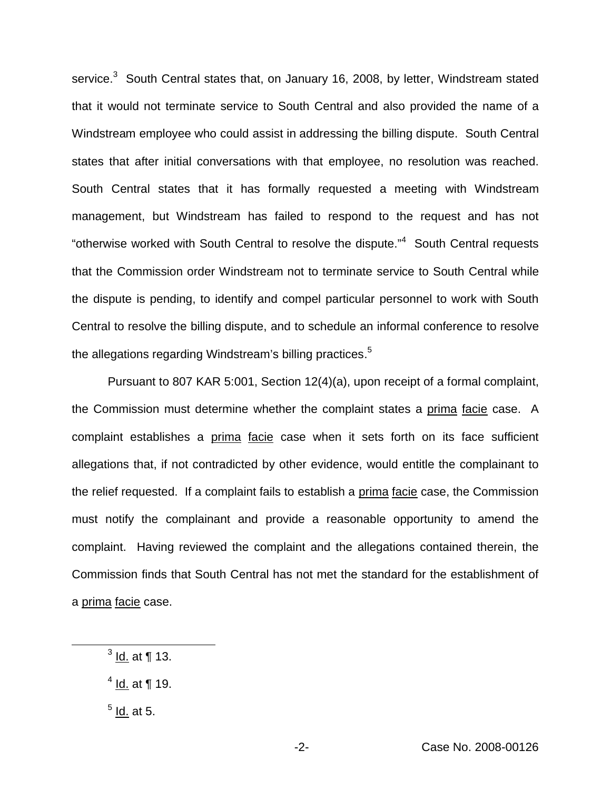service.<sup>3</sup> South Central states that, on January 16, 2008, by letter, Windstream stated that it would not terminate service to South Central and also provided the name of a Windstream employee who could assist in addressing the billing dispute. South Central states that after initial conversations with that employee, no resolution was reached. South Central states that it has formally requested a meeting with Windstream management, but Windstream has failed to respond to the request and has not "otherwise worked with South Central to resolve the dispute."<sup>4</sup> South Central requests that the Commission order Windstream not to terminate service to South Central while the dispute is pending, to identify and compel particular personnel to work with South Central to resolve the billing dispute, and to schedule an informal conference to resolve the allegations regarding Windstream's billing practices.<sup>5</sup>

Pursuant to 807 KAR 5:001, Section 12(4)(a), upon receipt of a formal complaint, the Commission must determine whether the complaint states a prima facie case. A complaint establishes a prima facie case when it sets forth on its face sufficient allegations that, if not contradicted by other evidence, would entitle the complainant to the relief requested. If a complaint fails to establish a prima facie case, the Commission must notify the complainant and provide a reasonable opportunity to amend the complaint. Having reviewed the complaint and the allegations contained therein, the Commission finds that South Central has not met the standard for the establishment of a prima facie case.

- $3$  Id. at ¶ 13.
- $4$  Id. at ¶ 19.
- $<sup>5</sup>$  Id. at 5.</sup>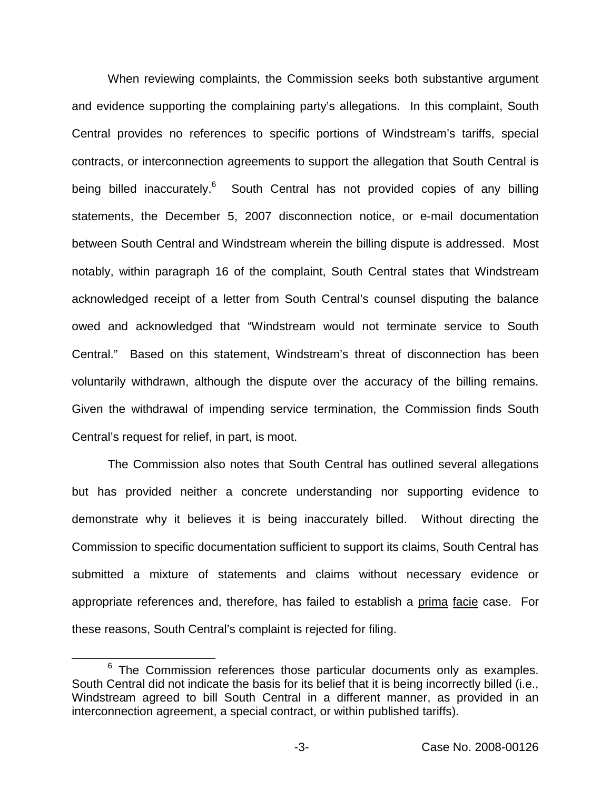When reviewing complaints, the Commission seeks both substantive argument and evidence supporting the complaining party's allegations. In this complaint, South Central provides no references to specific portions of Windstream's tariffs, special contracts, or interconnection agreements to support the allegation that South Central is being billed inaccurately.<sup>6</sup> South Central has not provided copies of any billing statements, the December 5, 2007 disconnection notice, or e-mail documentation between South Central and Windstream wherein the billing dispute is addressed. Most notably, within paragraph 16 of the complaint, South Central states that Windstream acknowledged receipt of a letter from South Central's counsel disputing the balance owed and acknowledged that "Windstream would not terminate service to South Central." Based on this statement, Windstream's threat of disconnection has been voluntarily withdrawn, although the dispute over the accuracy of the billing remains. Given the withdrawal of impending service termination, the Commission finds South Central's request for relief, in part, is moot.

The Commission also notes that South Central has outlined several allegations but has provided neither a concrete understanding nor supporting evidence to demonstrate why it believes it is being inaccurately billed. Without directing the Commission to specific documentation sufficient to support its claims, South Central has submitted a mixture of statements and claims without necessary evidence or appropriate references and, therefore, has failed to establish a prima facie case. For these reasons, South Central's complaint is rejected for filing.

 $6$  The Commission references those particular documents only as examples. South Central did not indicate the basis for its belief that it is being incorrectly billed (i.e., Windstream agreed to bill South Central in a different manner, as provided in an interconnection agreement, a special contract, or within published tariffs).